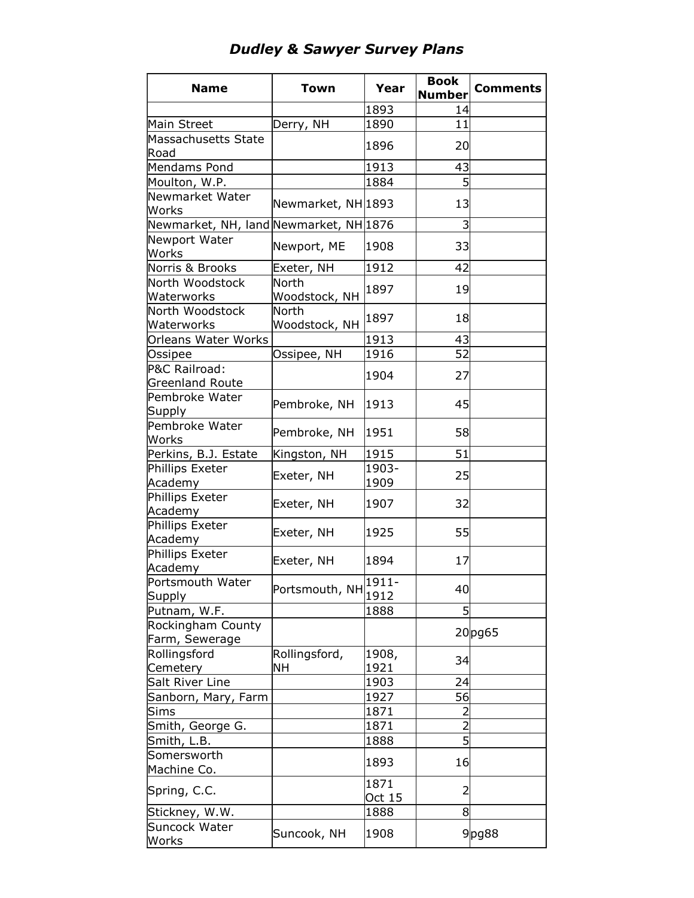## *Dudley & Sawyer Survey Plans*

| <b>Name</b>                            | <b>Town</b>                   | Year           | <b>Book</b>    | <b>Comments</b> |
|----------------------------------------|-------------------------------|----------------|----------------|-----------------|
|                                        |                               |                | <b>Number</b>  |                 |
|                                        |                               | 1893           | 14             |                 |
| Main Street                            | Derry, NH                     | 1890           | 11             |                 |
| Massachusetts State<br>Road            |                               | 1896           | 20             |                 |
| Mendams Pond                           |                               | 1913           | 43             |                 |
| Moulton, W.P.                          |                               | 1884           | 5              |                 |
| Newmarket Water                        |                               |                |                |                 |
| Works                                  | Newmarket, NH 1893            |                | 13             |                 |
| Newmarket, NH, land Newmarket, NH 1876 |                               |                | 3              |                 |
| Newport Water<br>Works                 | Newport, ME                   | 1908           | 33             |                 |
| Norris & Brooks                        | Exeter, NH                    | 1912           | 42             |                 |
| North Woodstock                        | North                         |                |                |                 |
| Waterworks                             | Woodstock, NH                 | 1897           | 19             |                 |
| North Woodstock<br>Waterworks          | <b>North</b><br>Woodstock, NH | 1897           | 18             |                 |
| Orleans Water Works                    |                               | 1913           | 43             |                 |
| Ossipee                                | Ossipee, NH                   | 1916           | 52             |                 |
| P&C Railroad:                          |                               |                |                |                 |
| <b>Greenland Route</b>                 |                               | 1904           | 27             |                 |
| Pembroke Water<br>Supply               | Pembroke, NH                  | 1913           | 45             |                 |
| Pembroke Water<br>Works                | Pembroke, NH                  | 1951           | 58             |                 |
| Perkins, B.J. Estate                   | Kingston, NH                  | 1915           | 51             |                 |
| Phillips Exeter<br>Academy             | Exeter, NH                    | 1903-<br>1909  | 25             |                 |
| Phillips Exeter<br>Academy             | Exeter, NH                    | 1907           | 32             |                 |
| Phillips Exeter<br>Academy             | Exeter, NH                    | 1925           | 55             |                 |
| Phillips Exeter<br>Academy             | Exeter, NH                    | 1894           | 17             |                 |
| Portsmouth Water<br>Supply             | Portsmouth, NH                | 1911<br>1912   | 40             |                 |
| Putnam, W.F.                           |                               | 1888           | 5              |                 |
| Rockingham County                      |                               |                |                |                 |
| Farm, Sewerage                         |                               |                |                | 20pg65          |
| Rollingsford                           | Rollingsford,                 | 1908,          |                |                 |
| Cemetery                               | NН                            | 1921           | 34             |                 |
| Salt River Line                        |                               | 1903           | 24             |                 |
| Sanborn, Mary, Farm                    |                               | 1927           | 56             |                 |
| Sims                                   |                               | 1871           | $\overline{2}$ |                 |
| Smith, George G.                       |                               | 1871           | $\overline{2}$ |                 |
| Smith, L.B.                            |                               | 1888           | 5              |                 |
| Somersworth                            |                               |                |                |                 |
| Machine Co.                            |                               | 1893           | 16             |                 |
| Spring, C.C.                           |                               | 1871<br>Oct 15 | $\overline{2}$ |                 |
| Stickney, W.W.                         |                               | 1888           | 8              |                 |
| Suncock Water<br>Works                 | Suncook, NH                   | 1908           |                | $9$ pg88        |